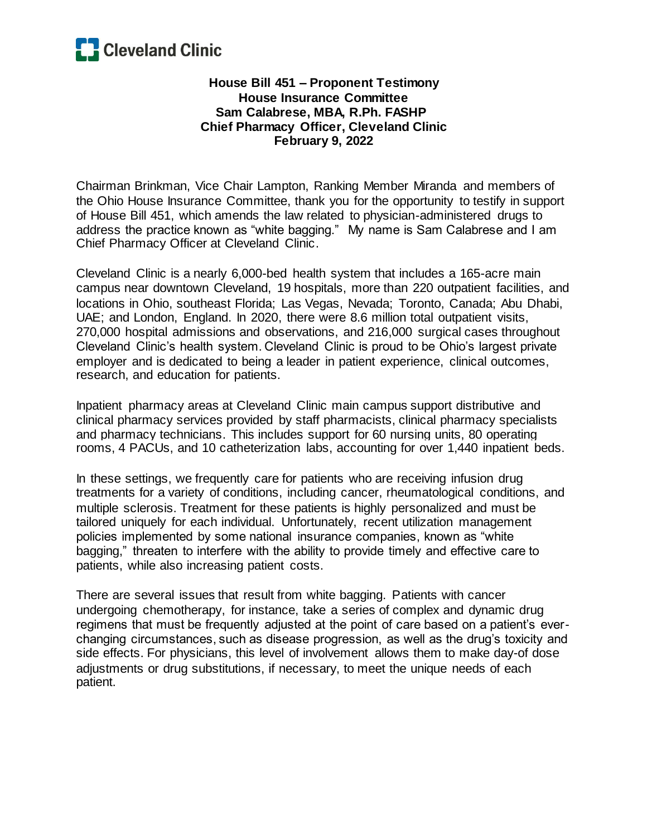

## **House Bill 451 – Proponent Testimony House Insurance Committee Sam Calabrese, MBA, R.Ph. FASHP Chief Pharmacy Officer, Cleveland Clinic February 9, 2022**

Chairman Brinkman, Vice Chair Lampton, Ranking Member Miranda and members of the Ohio House Insurance Committee, thank you for the opportunity to testify in support of House Bill 451, which amends the law related to physician-administered drugs to address the practice known as "white bagging." My name is Sam Calabrese and I am Chief Pharmacy Officer at Cleveland Clinic.

Cleveland Clinic is a nearly 6,000-bed health system that includes a 165-acre main campus near downtown Cleveland, 19 hospitals, more than 220 outpatient facilities, and locations in Ohio, southeast Florida; Las Vegas, Nevada; Toronto, Canada; Abu Dhabi, UAE; and London, England. In 2020, there were 8.6 million total outpatient visits, 270,000 hospital admissions and observations, and 216,000 surgical cases throughout Cleveland Clinic's health system. Cleveland Clinic is proud to be Ohio's largest private employer and is dedicated to being a leader in patient experience, clinical outcomes, research, and education for patients.

Inpatient pharmacy areas at Cleveland Clinic main campus support distributive and clinical pharmacy services provided by staff pharmacists, clinical pharmacy specialists and pharmacy technicians. This includes support for 60 nursing units, 80 operating rooms, 4 PACUs, and 10 catheterization labs, accounting for over 1,440 inpatient beds.

In these settings, we frequently care for patients who are receiving infusion drug treatments for a variety of conditions, including cancer, rheumatological conditions, and multiple sclerosis. Treatment for these patients is highly personalized and must be tailored uniquely for each individual. Unfortunately, recent utilization management policies implemented by some national insurance companies, known as "white bagging," threaten to interfere with the ability to provide timely and effective care to patients, while also increasing patient costs.

There are several issues that result from white bagging. Patients with cancer undergoing chemotherapy, for instance, take a series of complex and dynamic drug regimens that must be frequently adjusted at the point of care based on a patient's everchanging circumstances, such as disease progression, as well as the drug's toxicity and side effects. For physicians, this level of involvement allows them to make day-of dose adjustments or drug substitutions, if necessary, to meet the unique needs of each patient.